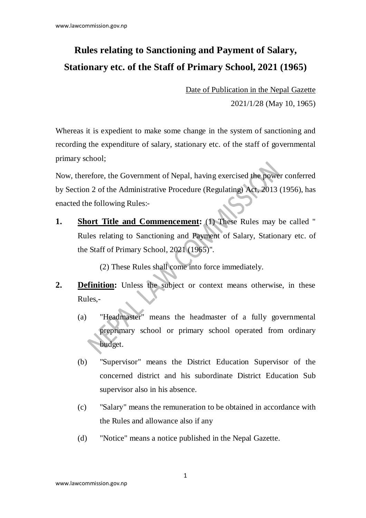## **Rules relating to Sanctioning and Payment of Salary, Stationary etc. of the Staff of Primary School, 2021 (1965)**

Date of Publication in the Nepal Gazette 2021/1/28 (May 10, 1965)

Whereas it is expedient to make some change in the system of sanctioning and recording the expenditure of salary, stationary etc. of the staff of governmental primary school;

Now, therefore, the Government of Nepal, having exercised the power conferred by Section 2 of the Administrative Procedure (Regulating) Act, 2013 (1956), has enacted the following Rules:-

**1.** Short Title and Commencement: (1) These Rules may be called " Rules relating to Sanctioning and Payment of Salary, Stationary etc. of the Staff of Primary School, 2021 (1965)".

(2) These Rules shall come into force immediately.

- **2. Definition:** Unless the subject or context means otherwise, in these Rules,-
	- (a) "Headmaster" means the headmaster of a fully governmental preprimary school or primary school operated from ordinary budget.
	- (b) "Supervisor" means the District Education Supervisor of the concerned district and his subordinate District Education Sub supervisor also in his absence.
	- (c) "Salary" means the remuneration to be obtained in accordance with the Rules and allowance also if any
	- (d) "Notice" means a notice published in the Nepal Gazette.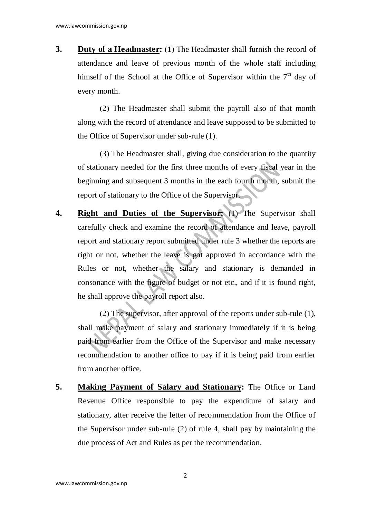**3. Duty of a Headmaster:** (1) The Headmaster shall furnish the record of attendance and leave of previous month of the whole staff including himself of the School at the Office of Supervisor within the  $7<sup>th</sup>$  day of every month.

(2) The Headmaster shall submit the payroll also of that month along with the record of attendance and leave supposed to be submitted to the Office of Supervisor under sub-rule (1).

(3) The Headmaster shall, giving due consideration to the quantity of stationary needed for the first three months of every fiscal year in the beginning and subsequent 3 months in the each fourth month, submit the report of stationary to the Office of the Supervisor.

**4. Right and Duties of the Supervisor:** (1) The Supervisor shall carefully check and examine the record of attendance and leave, payroll report and stationary report submitted under rule 3 whether the reports are right or not, whether the leave is got approved in accordance with the Rules or not, whether the salary and stationary is demanded in consonance with the figure of budget or not etc., and if it is found right, he shall approve the payroll report also.

(2) The supervisor, after approval of the reports under sub-rule (1), shall make payment of salary and stationary immediately if it is being paid from earlier from the Office of the Supervisor and make necessary recommendation to another office to pay if it is being paid from earlier from another office.

**5. Making Payment of Salary and Stationary:** The Office or Land Revenue Office responsible to pay the expenditure of salary and stationary, after receive the letter of recommendation from the Office of the Supervisor under sub-rule (2) of rule 4, shall pay by maintaining the due process of Act and Rules as per the recommendation.